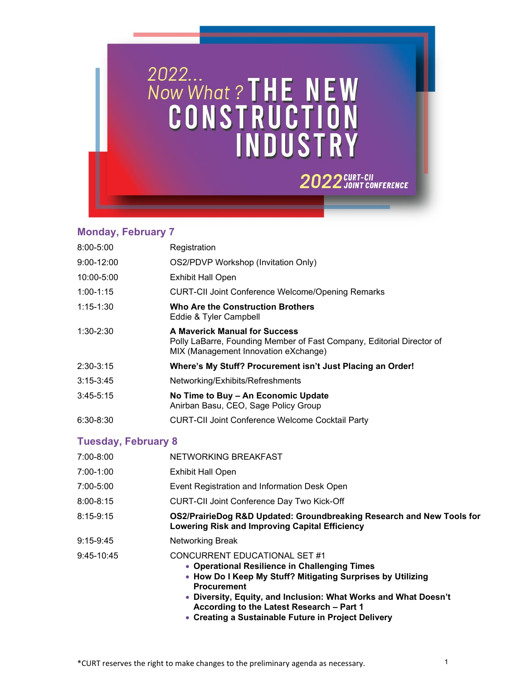

## **Monday, February 7**

| $8:00 - 5:00$              | Registration                                                                                                                                          |
|----------------------------|-------------------------------------------------------------------------------------------------------------------------------------------------------|
| $9:00 - 12:00$             | OS2/PDVP Workshop (Invitation Only)                                                                                                                   |
| 10:00-5:00                 | <b>Exhibit Hall Open</b>                                                                                                                              |
| $1:00 - 1:15$              | <b>CURT-CII Joint Conference Welcome/Opening Remarks</b>                                                                                              |
| $1:15 - 1:30$              | <b>Who Are the Construction Brothers</b><br>Eddie & Tyler Campbell                                                                                    |
| $1:30 - 2:30$              | <b>A Maverick Manual for Success</b><br>Polly LaBarre, Founding Member of Fast Company, Editorial Director of<br>MIX (Management Innovation eXchange) |
| $2:30-3:15$                | Where's My Stuff? Procurement isn't Just Placing an Order!                                                                                            |
| $3:15 - 3:45$              | Networking/Exhibits/Refreshments                                                                                                                      |
| $3:45-5:15$                | No Time to Buy - An Economic Update<br>Anirban Basu, CEO, Sage Policy Group                                                                           |
| $6:30 - 8:30$              | <b>CURT-CII Joint Conference Welcome Cocktail Party</b>                                                                                               |
| <b>Tuesday, February 8</b> |                                                                                                                                                       |
| $7:00 - 8:00$              | NETWORKING BREAKFAST                                                                                                                                  |
| $7:00-1:00$                | Exhibit Hall Open                                                                                                                                     |
| 7:00-5:00                  | Event Registration and Information Desk Open                                                                                                          |

8:00-8:15 CURT-CII Joint Conference Day Two Kick-Off

| 8:15-9:15 | OS2/PrairieDog R&D Updated: Groundbreaking Research and New Tools for |
|-----------|-----------------------------------------------------------------------|
|           | <b>Lowering Risk and Improving Capital Efficiency</b>                 |

- 9:15-9:45 Networking Break
- 9:45-10:45 CONCURRENT EDUCATIONAL SET #1
	- **Operational Resilience in Challenging Times**
	- **How Do I Keep My Stuff? Mitigating Surprises by Utilizing Procurement**
	- **Diversity, Equity, and Inclusion: What Works and What Doesn't According to the Latest Research – Part 1**
	- **Creating a Sustainable Future in Project Delivery**